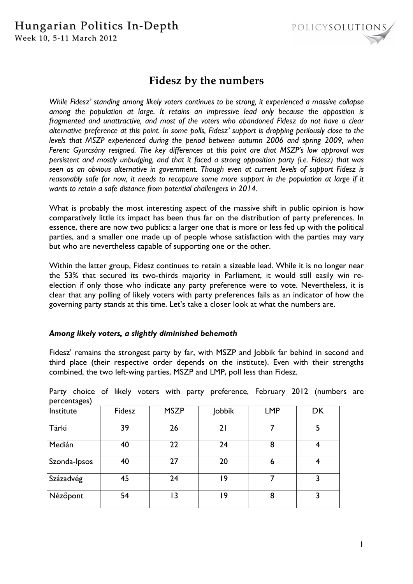# Hungarian Politics In-Depth Week 10, 5-11 March 2012



# **Fidesz by the numbers**

*While Fidesz' standing among likely voters continues to be strong, it experienced a massive collapse among the population at large. It retains an impressive lead only because the opposition is fragmented and unattractive, and most of the voters who abandoned Fidesz do not have a clear alternative preference at this point. In some polls, Fidesz' support is dropping perilously close to the levels that MSZP experienced during the period between autumn 2006 and spring 2009, when Ferenc Gyurcsány resigned. The key differences at this point are that MSZP's low approval was persistent and mostly unbudging, and that it faced a strong opposition party (i.e. Fidesz) that was seen as an obvious alternative in government. Though even at current levels of support Fidesz is*  reasonably safe for now, it needs to recapture some more support in the population at large if it *wants to retain a safe distance from potential challengers in 2014.* 

What is probably the most interesting aspect of the massive shift in public opinion is how comparatively little its impact has been thus far on the distribution of party preferences. In essence, there are now two publics: a larger one that is more or less fed up with the political parties, and a smaller one made up of people whose satisfaction with the parties may vary but who are nevertheless capable of supporting one or the other.

Within the latter group, Fidesz continues to retain a sizeable lead. While it is no longer near the 53% that secured its two-thirds majority in Parliament, it would still easily win reelection if only those who indicate any party preference were to vote. Nevertheless, it is clear that any polling of likely voters with party preferences fails as an indicator of how the governing party stands at this time. Let's take a closer look at what the numbers are.

## *Among likely voters, a slightly diminished behemoth*

Fidesz' remains the strongest party by far, with MSZP and Jobbik far behind in second and third place (their respective order depends on the institute). Even with their strengths combined, the two left-wing parties, MSZP and LMP, poll less than Fidesz.

| per centages) |        |             |        |            |           |
|---------------|--------|-------------|--------|------------|-----------|
| Institute     | Fidesz | <b>MSZP</b> | Jobbik | <b>LMP</b> | <b>DK</b> |
| Tárki         | 39     | 26          | 21     |            |           |
| Medián        | 40     | 22          | 24     | 8          |           |
| Szonda-Ipsos  | 40     | 27          | 20     | 6          | 4         |
| Századvég     | 45     | 24          | , 9    | 7          |           |
| Nézőpont      | 54     | ۱3          | , 9    | 8          |           |

Party choice of likely voters with party preference, February 2012 (numbers are percentages)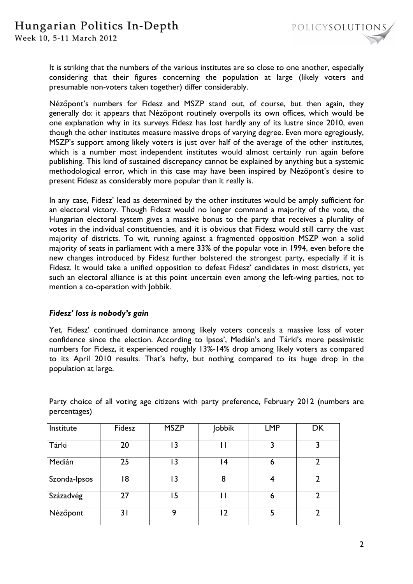

It is striking that the numbers of the various institutes are so close to one another, especially considering that their figures concerning the population at large (likely voters and presumable non-voters taken together) differ considerably.

Nézőpont's numbers for Fidesz and MSZP stand out, of course, but then again, they generally do: it appears that Nézőpont routinely overpolls its own offices, which would be one explanation why in its surveys Fidesz has lost hardly any of its lustre since 2010, even though the other institutes measure massive drops of varying degree. Even more egregiously, MSZP's support among likely voters is just over half of the average of the other institutes, which is a number most independent institutes would almost certainly run again before publishing. This kind of sustained discrepancy cannot be explained by anything but a systemic methodological error, which in this case may have been inspired by Nézőpont's desire to present Fidesz as considerably more popular than it really is.

In any case, Fidesz' lead as determined by the other institutes would be amply sufficient for an electoral victory. Though Fidesz would no longer command a majority of the vote, the Hungarian electoral system gives a massive bonus to the party that receives a plurality of votes in the individual constituencies, and it is obvious that Fidesz would still carry the vast majority of districts. To wit, running against a fragmented opposition MSZP won a solid majority of seats in parliament with a mere 33% of the popular vote in 1994, even before the new changes introduced by Fidesz further bolstered the strongest party, especially if it is Fidesz. It would take a unified opposition to defeat Fidesz' candidates in most districts, yet such an electoral alliance is at this point uncertain even among the left-wing parties, not to mention a co-operation with Jobbik.

#### *Fidesz' loss is nobody's gain*

Yet, Fidesz' continued dominance among likely voters conceals a massive loss of voter confidence since the election. According to Ipsos', Medián's and Tárki's more pessimistic numbers for Fidesz, it experienced roughly 13%-14% drop among likely voters as compared to its April 2010 results. That's hefty, but nothing compared to its huge drop in the population at large.

| Institute    | Fidesz | <b>MSZP</b> | Jobbik | <b>LMP</b> | <b>DK</b>      |
|--------------|--------|-------------|--------|------------|----------------|
| Tárki        | 20     | 13          |        | 3          |                |
| Medián       | 25     | 13          | 14     | 6          | $\overline{2}$ |
| Szonda-Ipsos | 18     | 13          | 8      |            | 7              |
| Századvég    | 27     | 15          |        | 6          | າ              |
| Nézőpont     | 3 I    | 9           | 2 ا    | 5          |                |

Party choice of all voting age citizens with party preference, February 2012 (numbers are percentages)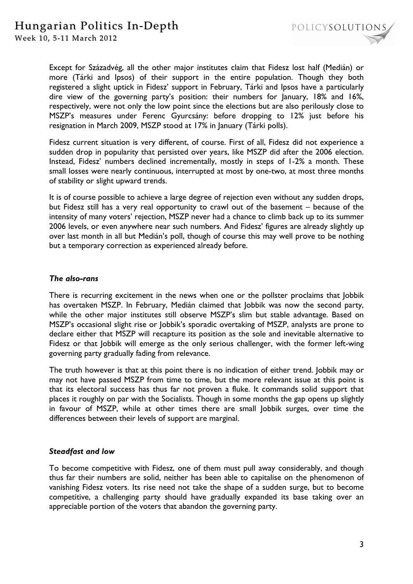Week 10, 5-11 March 2012

Except for Századvég, all the other major institutes claim that Fidesz lost half (Medián) or more (Tárki and Ipsos) of their support in the entire population. Though they both registered a slight uptick in Fidesz' support in February, Tárki and Ipsos have a particularly dire view of the governing party's position: their numbers for January, 18% and 16%, respectively, were not only the low point since the elections but are also perilously close to MSZP's measures under Ferenc Gyurcsány: before dropping to 12% just before his resignation in March 2009, MSZP stood at 17% in January (Tárki polls).

Fidesz current situation is very different, of course. First of all, Fidesz did not experience a sudden drop in popularity that persisted over years, like MSZP did after the 2006 election. Instead, Fidesz' numbers declined incrementally, mostly in steps of 1-2% a month. These small losses were nearly continuous, interrupted at most by one-two, at most three months of stability or slight upward trends.

It is of course possible to achieve a large degree of rejection even without any sudden drops, but Fidesz still has a very real opportunity to crawl out of the basement – because of the intensity of many voters' rejection, MSZP never had a chance to climb back up to its summer 2006 levels, or even anywhere near such numbers. And Fidesz' figures are already slightly up over last month in all but Medián's poll, though of course this may well prove to be nothing but a temporary correction as experienced already before.

#### *The also-rans*

There is recurring excitement in the news when one or the pollster proclaims that Jobbik has overtaken MSZP. In February, Medián claimed that Jobbik was now the second party, while the other major institutes still observe MSZP's slim but stable advantage. Based on MSZP's occasional slight rise or Jobbik's sporadic overtaking of MSZP, analysts are prone to declare either that MSZP will recapture its position as the sole and inevitable alternative to Fidesz or that Jobbik will emerge as the only serious challenger, with the former left-wing governing party gradually fading from relevance.

The truth however is that at this point there is no indication of either trend. Jobbik may or may not have passed MSZP from time to time, but the more relevant issue at this point is that its electoral success has thus far not proven a fluke. It commands solid support that places it roughly on par with the Socialists. Though in some months the gap opens up slightly in favour of MSZP, while at other times there are small Jobbik surges, over time the differences between their levels of support are marginal.

## *Steadfast and low*

To become competitive with Fidesz, one of them must pull away considerably, and though thus far their numbers are solid, neither has been able to capitalise on the phenomenon of vanishing Fidesz voters. Its rise need not take the shape of a sudden surge, but to become competitive, a challenging party should have gradually expanded its base taking over an appreciable portion of the voters that abandon the governing party.